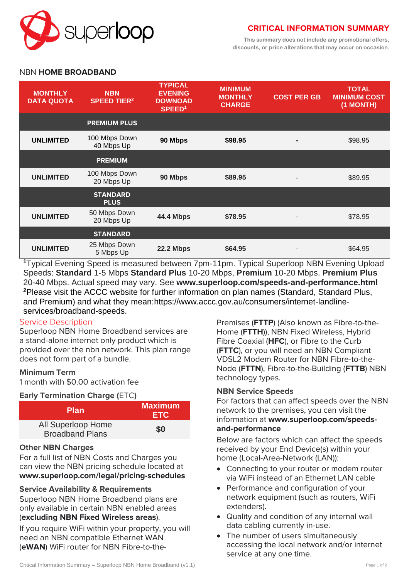

# **CRITICAL INFORMATION SUMMARY**

**This summary does not include any promotional offers, discounts, or price alterations that may occur on occasion.**

# NBN **HOME BROADBAND**

| <b>MONTHLY</b><br><b>DATA QUOTA</b> | <b>NBN</b><br><b>SPEED TIER<sup>2</sup></b> | <b>TYPICAL</b><br><b>EVENING</b><br><b>DOWNOAD</b><br>SPEED <sup>1</sup> | <b>MINIMUM</b><br><b>MONTHLY</b><br><b>CHARGE</b> | <b>COST PER GB</b> | <b>TOTAL</b><br><b>MINIMUM COST</b><br>(1 MONTH) |
|-------------------------------------|---------------------------------------------|--------------------------------------------------------------------------|---------------------------------------------------|--------------------|--------------------------------------------------|
|                                     | <b>PREMIUM PLUS</b>                         |                                                                          |                                                   |                    |                                                  |
| <b>UNLIMITED</b>                    | 100 Mbps Down<br>40 Mbps Up                 | 90 Mbps                                                                  | \$98.95                                           |                    | \$98.95                                          |
|                                     | <b>PREMIUM</b>                              |                                                                          |                                                   |                    |                                                  |
| <b>UNLIMITED</b>                    | 100 Mbps Down<br>20 Mbps Up                 | 90 Mbps                                                                  | \$89.95                                           |                    | \$89.95                                          |
|                                     | <b>STANDARD</b><br><b>PLUS</b>              |                                                                          |                                                   |                    |                                                  |
| <b>UNLIMITED</b>                    | 50 Mbps Down<br>20 Mbps Up                  | <b>44.4 Mbps</b>                                                         | \$78.95                                           |                    | \$78.95                                          |
|                                     | <b>STANDARD</b>                             |                                                                          |                                                   |                    |                                                  |
| <b>UNLIMITED</b>                    | 25 Mbps Down<br>5 Mbps Up                   | <b>22.2 Mbps</b>                                                         | \$64.95                                           |                    | \$64.95                                          |

**<sup>1</sup>**Typical Evening Speed is measured between 7pm-11pm. Typical Superloop NBN Evening Upload Speeds: **Standard** 1-5 Mbps **Standard Plus** 10-20 Mbps, **Premium** 10-20 Mbps. **Premium Plus** 20-40 Mbps. Actual speed may vary. See **[www.superloop.com/speeds-and-performance.](https://www.superloop.com/speeds-and-performance.html)html <sup>2</sup>**Please visit the ACCC website for further information on plan names (Standard, Standard Plus, and Premium) and what they mean:https://www.accc.gov.au/consumers/internet-landlineservices/broadband-speeds.

#### **Service Description**

Superloop NBN Home Broadband services are a stand-alone internet only product which is provided over the nbn network. This plan range does not form part of a bundle.

#### **Minimum Term**

1 month with \$0.00 activation fee

#### **Early Termination Charge (**ETC**)**

| <b>Plan</b>                                  | <b>Maximum</b><br><b>ETC</b> |  |
|----------------------------------------------|------------------------------|--|
| All Superloop Home<br><b>Broadband Plans</b> | \$0                          |  |

# **Other NBN Charges**

For a full list of NBN Costs and Charges you can view the NBN pricing schedule located at **[www.superloop.com/legal/pricing-schedules](https://www.superloop.com/legal/pricing-schedules.html)**

# **Service Availability & Requirements**

Superloop NBN Home Broadband plans are only available in certain NBN enabled areas (*excluding NBN Fixed Wireless areas*).

If you require WiFi within your property, you will need an NBN compatible Ethernet WAN (**eWAN**) WiFi router for NBN Fibre-to-thePremises (**FTTP**) (Also known as Fibre-to-the-Home (**FTTH**)), NBN Fixed Wireless, Hybrid Fibre Coaxial (**HFC**), or Fibre to the Curb (**FTTC**), or you will need an NBN Compliant VDSL2 Modem Router for NBN Fibre-to-the-Node (**FTTN**), Fibre-to-the-Building (**FTTB**) NBN technology types.

#### **NBN Service Speeds**

For factors that can affect speeds over the NBN network to the premises, you can visit the information at **[www.superloop.com/speeds](https://www.superloop.com/speeds-and-performance.html)[and-performance](https://www.superloop.com/speeds-and-performance.html)**

Below are factors which can affect the speeds received by your End Device(s) within your home (Local-Area-Network (LAN)):

- Connecting to your router or modem router via WiFi instead of an Ethernet LAN cable
- Performance and configuration of your network equipment (such as routers, WiFi extenders).
- Quality and condition of any internal wall data cabling currently in-use.
- The number of users simultaneously accessing the local network and/or internet service at any one time.